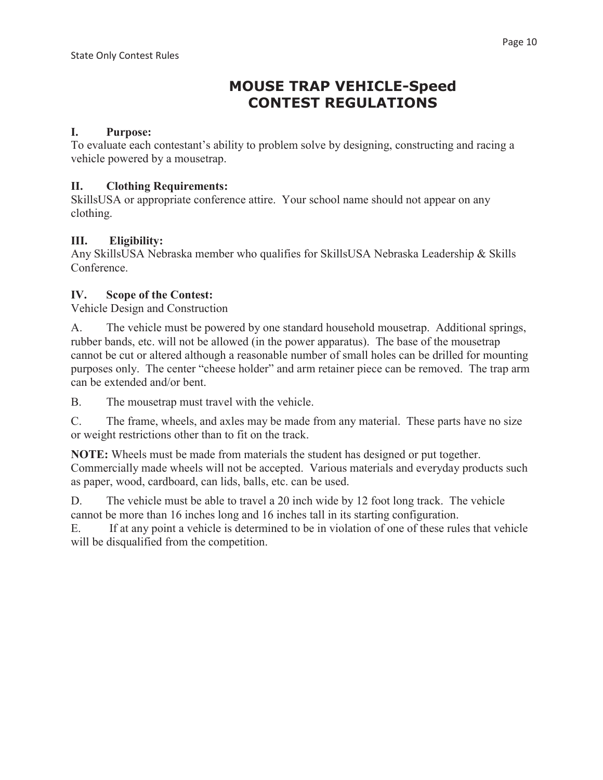# **MOUSE TRAP VEHICLE-Speed CONTEST REGULATIONS**

## **I. Purpose:**

To evaluate each contestant's ability to problem solve by designing, constructing and racing a vehicle powered by a mousetrap.

### **II. Clothing Requirements:**

SkillsUSA or appropriate conference attire. Your school name should not appear on any clothing.

# **III. Eligibility:**

Any SkillsUSA Nebraska member who qualifies for SkillsUSA Nebraska Leadership & Skills Conference.

## **IV. Scope of the Contest:**

Vehicle Design and Construction

A. The vehicle must be powered by one standard household mousetrap. Additional springs, rubber bands, etc. will not be allowed (in the power apparatus). The base of the mousetrap cannot be cut or altered although a reasonable number of small holes can be drilled for mounting purposes only. The center "cheese holder" and arm retainer piece can be removed. The trap arm can be extended and/or bent.

B. The mousetrap must travel with the vehicle.

C. The frame, wheels, and axles may be made from any material. These parts have no size or weight restrictions other than to fit on the track.

**NOTE:** Wheels must be made from materials the student has designed or put together. Commercially made wheels will not be accepted. Various materials and everyday products such as paper, wood, cardboard, can lids, balls, etc. can be used.

D. The vehicle must be able to travel a 20 inch wide by 12 foot long track. The vehicle cannot be more than 16 inches long and 16 inches tall in its starting configuration.

E. If at any point a vehicle is determined to be in violation of one of these rules that vehicle will be disqualified from the competition.